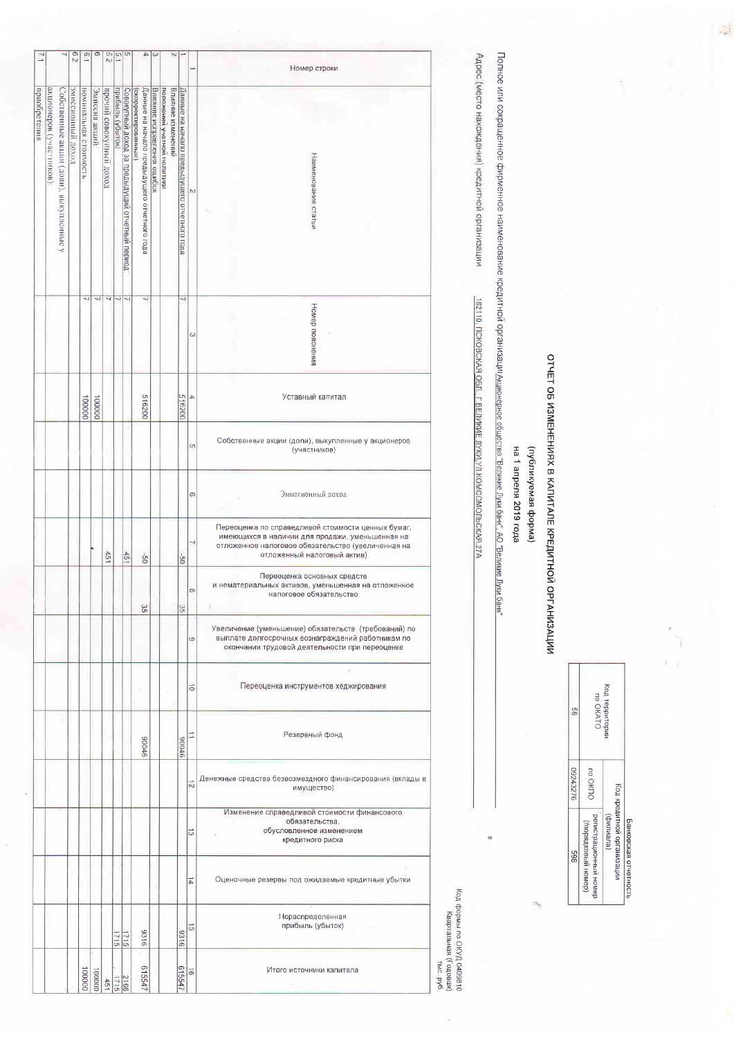| F.N          |                         |                                                  | $\frac{6}{2}$     | $\overline{5.1}$      | $\circ$       | U٦<br>Ñ3                |                  | $\left  \frac{c_1}{c_2} \right $               | A                                           | $\omega$                   |                            | N                 |                                             | ∸              | Номер строки                                                                                                                                                                               |  |  |  |  |
|--------------|-------------------------|--------------------------------------------------|-------------------|-----------------------|---------------|-------------------------|------------------|------------------------------------------------|---------------------------------------------|----------------------------|----------------------------|-------------------|---------------------------------------------|----------------|--------------------------------------------------------------------------------------------------------------------------------------------------------------------------------------------|--|--|--|--|
| приобретения |                         |                                                  | эмиссионный доход |                       | Эмиссия акций |                         | прибыль (убыток) |                                                | (акиневофидафия)                            |                            |                            | Влияние изменений |                                             |                |                                                                                                                                                                                            |  |  |  |  |
|              | акционеров (участников) | Собственные акции (доли), выкупленные<br>$\prec$ |                   | НОМИНАЛЬНАЯ СТОИМОСТЬ |               | прочий совокупный доход |                  | Совокупный доход за предыдущий отчетный период | Данные на начало предыдущего отчетного года | Влияние исправления ошибок | положении учетной политики |                   | Данные на начало предыдущего отчетного года | N              | Наименование статьи                                                                                                                                                                        |  |  |  |  |
|              |                         |                                                  |                   | w                     |               |                         |                  |                                                | ы                                           |                            |                            |                   | ┙                                           | ω              | Номер пояснения                                                                                                                                                                            |  |  |  |  |
|              |                         |                                                  |                   | 100000                | 000001        |                         |                  |                                                | 516200                                      |                            |                            |                   | 516200                                      | 4              | Уставный капитал                                                                                                                                                                           |  |  |  |  |
|              |                         |                                                  |                   |                       |               |                         |                  |                                                |                                             |                            |                            |                   |                                             | in,            | Собственные акции (доли), выкупленные у акционеров<br>(участников)                                                                                                                         |  |  |  |  |
|              |                         |                                                  |                   |                       |               |                         |                  |                                                |                                             |                            |                            |                   |                                             | ø              | Эмиссионный доход                                                                                                                                                                          |  |  |  |  |
|              |                         |                                                  |                   |                       |               | 451                     |                  | 45                                             | ģ                                           |                            |                            |                   | G-                                          | ن              | Переоценка по справедливой стоимости ценных бумаг,<br>имеющихся в наличии для продажи, уменьшенная на<br>отложенное налоговое обязательство (увеличенная на<br>отложенный налоговый актив) |  |  |  |  |
|              |                         |                                                  |                   |                       |               |                         |                  |                                                | 35                                          |                            |                            |                   | 95                                          | $\infty$       | Переоценка основных средств<br>и нематериальных активов, уменьшенная на отложенное<br>налоговое обязательство                                                                              |  |  |  |  |
|              |                         |                                                  |                   |                       |               |                         |                  |                                                |                                             |                            |                            |                   |                                             | w              | Увеличение (уменьшение) обязательств (требований) по<br>выплате долгосрочных вознаграждений работникам по<br>окончании трудовой деятельности при переоценке                                |  |  |  |  |
|              |                         |                                                  |                   |                       |               |                         |                  |                                                | ×                                           |                            |                            |                   |                                             | ä              | Переоценка инструментов хеджирования                                                                                                                                                       |  |  |  |  |
|              |                         |                                                  |                   |                       |               |                         |                  |                                                | 90006                                       |                            |                            |                   | 90006                                       | □              | Резервный фонд                                                                                                                                                                             |  |  |  |  |
|              |                         |                                                  |                   |                       |               |                         |                  |                                                |                                             |                            |                            |                   |                                             | 芯              | Денежные средства безвозмездного финансирования (вклады в<br>имущество)                                                                                                                    |  |  |  |  |
|              |                         |                                                  |                   |                       |               |                         |                  |                                                |                                             |                            |                            |                   |                                             | ಪ              | Изменение справедливой стоимости финансового<br>обязательства,<br>обусловленное изменением<br>кредитного риска                                                                             |  |  |  |  |
|              |                         |                                                  |                   |                       |               |                         |                  |                                                |                                             |                            |                            |                   |                                             | 교              | Оценочные резервы под ожидаемые кредитные убытки                                                                                                                                           |  |  |  |  |
|              |                         |                                                  |                   |                       |               |                         | 1715             |                                                | 9316                                        |                            |                            |                   | 3316                                        | $\overline{a}$ | Нераспределенная<br>прибыль (убыток)                                                                                                                                                       |  |  |  |  |
|              |                         |                                                  |                   | 000001                | 000001        | 451                     | 1715             | <b>2166</b>                                    | 515547                                      |                            |                            |                   | 615547                                      | $\vec{p}$      | Итого источники капитала                                                                                                                                                                   |  |  |  |  |

Код территории<br>по ОКАТО  $\mathbb{S}^2$ 09243276 no OKNO Код кредитной организации регистрационный номер)<br>(/порядковый номер) (еигииф) Банковская отчетность 869

## OTYET OB ИЗМЕНЕНИЯХ В КАПИТАЛЕ КРЕДИТНОЙ ОРГАНИЗАЦИИ

## (вмаоф вемалинидли)

## на 1 апреля 2019 года

Полное или сокращенное фирменное наименование кредитной организации мирионерное общество "Великие Луки банк", АО "Великие Луки банк"

Адрес (место нахождения) кредитной организации

182110, ПСКОВСКАЯ ОБЛ., Г. ВЕЛИКИЕ ЛУКИ, УЛ КОМСОМОЛЬСКАЯ 27А